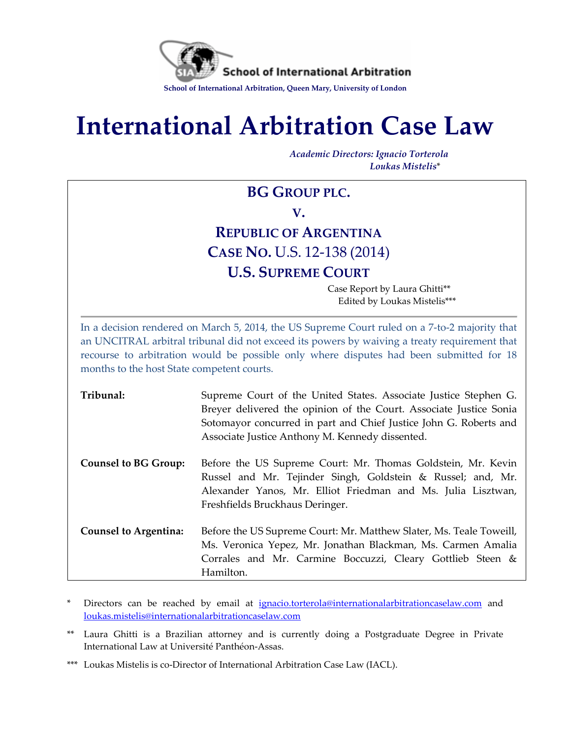

# **International Arbitration Case Law**

*Academic Directors: Ignacio Torterola Loukas Mistelis*\*

## **BG GROUP PLC. V. REPUBLIC OF ARGENTINA CASE NO.** U.S. 12-138 (2014) **U.S. SUPREME COURT**

Case Report by Laura Ghitti\*\* Edited by Loukas Mistelis\*\*\*

In a decision rendered on March 5, 2014, the US Supreme Court ruled on a 7-to-2 majority that an UNCITRAL arbitral tribunal did not exceed its powers by waiving a treaty requirement that recourse to arbitration would be possible only where disputes had been submitted for 18 months to the host State competent courts.

| Tribunal:                    | Supreme Court of the United States. Associate Justice Stephen G.<br>Breyer delivered the opinion of the Court. Associate Justice Sonia<br>Sotomayor concurred in part and Chief Justice John G. Roberts and<br>Associate Justice Anthony M. Kennedy dissented. |
|------------------------------|----------------------------------------------------------------------------------------------------------------------------------------------------------------------------------------------------------------------------------------------------------------|
| <b>Counsel to BG Group:</b>  | Before the US Supreme Court: Mr. Thomas Goldstein, Mr. Kevin<br>Russel and Mr. Tejinder Singh, Goldstein & Russel; and, Mr.<br>Alexander Yanos, Mr. Elliot Friedman and Ms. Julia Lisztwan,<br>Freshfields Bruckhaus Deringer.                                 |
| <b>Counsel to Argentina:</b> | Before the US Supreme Court: Mr. Matthew Slater, Ms. Teale Toweill,<br>Ms. Veronica Yepez, Mr. Jonathan Blackman, Ms. Carmen Amalia<br>Corrales and Mr. Carmine Boccuzzi, Cleary Gottlieb Steen &<br>Hamilton.                                                 |

Directors can be reached by email at [ignacio.torterola@internationalarbitrationcaselaw.com](mailto:ignacio.torterola@internationalarbitrationcaselaw.com) and [loukas.mistelis@internationalarbitrationcaselaw.com](mailto:loukas.mistelis@internationalarbitrationcaselaw.com) 

\*\* Laura Ghitti is a Brazilian attorney and is currently doing a Postgraduate Degree in Private International Law at Université Panthéon-Assas.

\*\*\* Loukas Mistelis is co-Director of International Arbitration Case Law (IACL).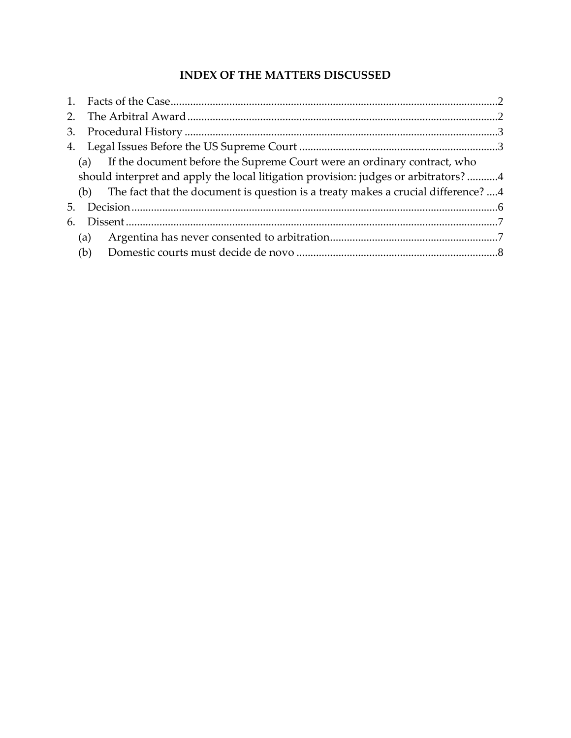### **INDEX OF THE MATTERS DISCUSSED**

|                | (a)                                                                                 | If the document before the Supreme Court were an ordinary contract, who              |  |
|----------------|-------------------------------------------------------------------------------------|--------------------------------------------------------------------------------------|--|
|                | should interpret and apply the local litigation provision: judges or arbitrators? 4 |                                                                                      |  |
|                |                                                                                     | (b) The fact that the document is question is a treaty makes a crucial difference? 4 |  |
| 5 <sub>1</sub> |                                                                                     |                                                                                      |  |
| 6.             |                                                                                     |                                                                                      |  |
|                | (a)                                                                                 |                                                                                      |  |
|                | (b)                                                                                 |                                                                                      |  |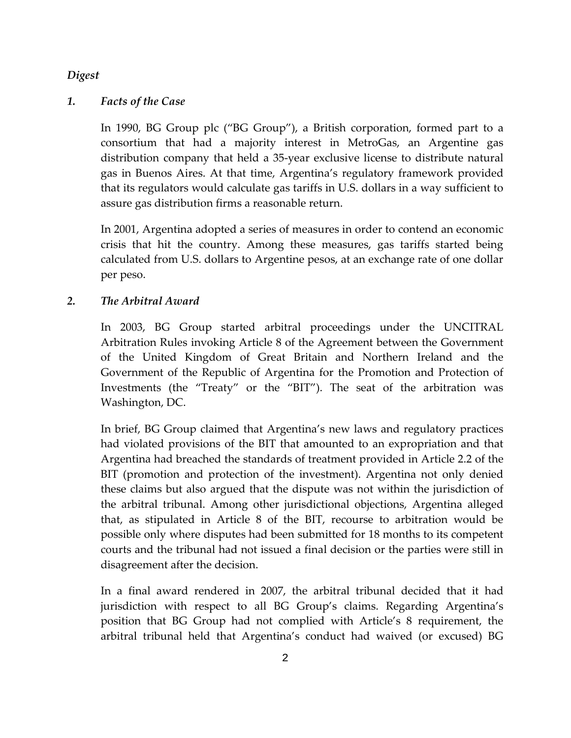#### *Digest*

#### <span id="page-2-0"></span>*1. Facts of the Case*

In 1990, BG Group plc ("BG Group"), a British corporation, formed part to a consortium that had a majority interest in MetroGas, an Argentine gas distribution company that held a 35-year exclusive license to distribute natural gas in Buenos Aires. At that time, Argentina's regulatory framework provided that its regulators would calculate gas tariffs in U.S. dollars in a way sufficient to assure gas distribution firms a reasonable return.

In 2001, Argentina adopted a series of measures in order to contend an economic crisis that hit the country. Among these measures, gas tariffs started being calculated from U.S. dollars to Argentine pesos, at an exchange rate of one dollar per peso.

#### <span id="page-2-1"></span>*2. The Arbitral Award*

In 2003, BG Group started arbitral proceedings under the UNCITRAL Arbitration Rules invoking Article 8 of the Agreement between the Government of the United Kingdom of Great Britain and Northern Ireland and the Government of the Republic of Argentina for the Promotion and Protection of Investments (the "Treaty" or the "BIT"). The seat of the arbitration was Washington, DC.

In brief, BG Group claimed that Argentina's new laws and regulatory practices had violated provisions of the BIT that amounted to an expropriation and that Argentina had breached the standards of treatment provided in Article 2.2 of the BIT (promotion and protection of the investment). Argentina not only denied these claims but also argued that the dispute was not within the jurisdiction of the arbitral tribunal. Among other jurisdictional objections, Argentina alleged that, as stipulated in Article 8 of the BIT, recourse to arbitration would be possible only where disputes had been submitted for 18 months to its competent courts and the tribunal had not issued a final decision or the parties were still in disagreement after the decision.

In a final award rendered in 2007, the arbitral tribunal decided that it had jurisdiction with respect to all BG Group's claims. Regarding Argentina's position that BG Group had not complied with Article's 8 requirement, the arbitral tribunal held that Argentina's conduct had waived (or excused) BG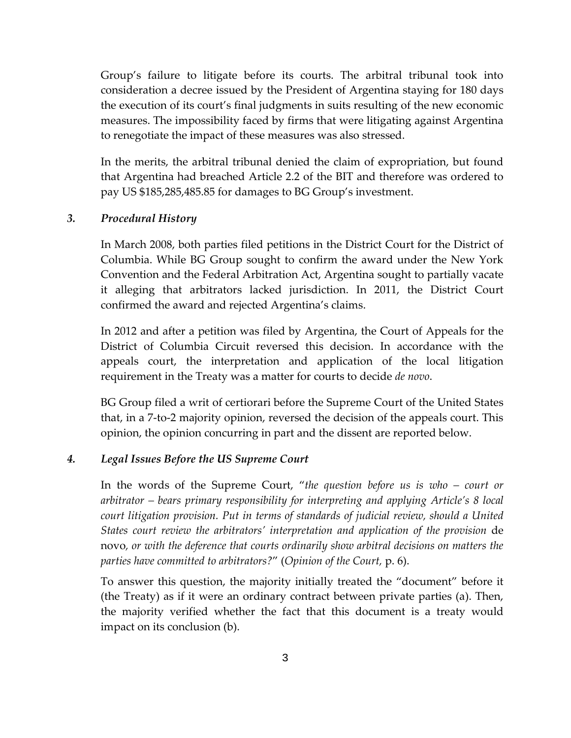Group's failure to litigate before its courts. The arbitral tribunal took into consideration a decree issued by the President of Argentina staying for 180 days the execution of its court's final judgments in suits resulting of the new economic measures. The impossibility faced by firms that were litigating against Argentina to renegotiate the impact of these measures was also stressed.

In the merits, the arbitral tribunal denied the claim of expropriation, but found that Argentina had breached Article 2.2 of the BIT and therefore was ordered to pay US \$185,285,485.85 for damages to BG Group's investment.

#### <span id="page-3-0"></span>*3. Procedural History*

In March 2008, both parties filed petitions in the District Court for the District of Columbia. While BG Group sought to confirm the award under the New York Convention and the Federal Arbitration Act, Argentina sought to partially vacate it alleging that arbitrators lacked jurisdiction. In 2011, the District Court confirmed the award and rejected Argentina's claims.

In 2012 and after a petition was filed by Argentina, the Court of Appeals for the District of Columbia Circuit reversed this decision. In accordance with the appeals court, the interpretation and application of the local litigation requirement in the Treaty was a matter for courts to decide *de novo*.

BG Group filed a writ of certiorari before the Supreme Court of the United States that, in a 7-to-2 majority opinion, reversed the decision of the appeals court. This opinion, the opinion concurring in part and the dissent are reported below.

#### <span id="page-3-1"></span>*4. Legal Issues Before the US Supreme Court*

In the words of the Supreme Court, "*the question before us is who – court or arbitrator – bears primary responsibility for interpreting and applying Article's 8 local court litigation provision. Put in terms of standards of judicial review, should a United States court review the arbitrators' interpretation and application of the provision* de novo*, or with the deference that courts ordinarily show arbitral decisions on matters the parties have committed to arbitrators?*" (*Opinion of the Court,* p. 6).

To answer this question, the majority initially treated the "document" before it (the Treaty) as if it were an ordinary contract between private parties (a). Then, the majority verified whether the fact that this document is a treaty would impact on its conclusion (b).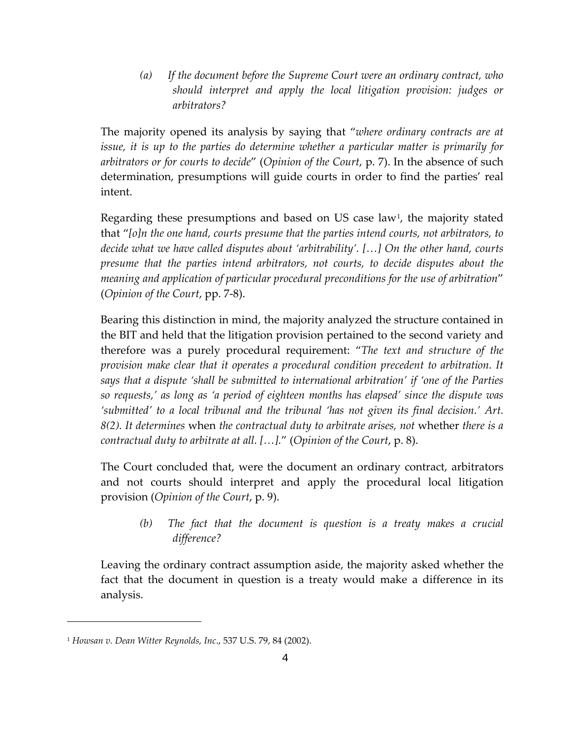*(a) If the document before the Supreme Court were an ordinary contract, who should interpret and apply the local litigation provision: judges or arbitrators?*

<span id="page-4-0"></span>The majority opened its analysis by saying that "*where ordinary contracts are at issue, it is up to the parties do determine whether a particular matter is primarily for arbitrators or for courts to decide*" (*Opinion of the Court*, p. 7). In the absence of such determination, presumptions will guide courts in order to find the parties' real intent.

Regarding these presumptions and based on US case law<sup>[1](#page-4-2)</sup>, the majority stated that "*[o]n the one hand, courts presume that the parties intend courts, not arbitrators, to decide what we have called disputes about 'arbitrability'. […] On the other hand, courts presume that the parties intend arbitrators, not courts, to decide disputes about the meaning and application of particular procedural preconditions for the use of arbitration*" (*Opinion of the Court*, pp. 7-8).

Bearing this distinction in mind, the majority analyzed the structure contained in the BIT and held that the litigation provision pertained to the second variety and therefore was a purely procedural requirement: "*The text and structure of the provision make clear that it operates a procedural condition precedent to arbitration. It says that a dispute 'shall be submitted to international arbitration' if 'one of the Parties so requests,' as long as 'a period of eighteen months has elapsed' since the dispute was 'submitted' to a local tribunal and the tribunal 'has not given its final decision.' Art. 8(2). It determines* when *the contractual duty to arbitrate arises, not* whether *there is a contractual duty to arbitrate at all. […].*" (*Opinion of the Court*, p. 8).

The Court concluded that, were the document an ordinary contract, arbitrators and not courts should interpret and apply the procedural local litigation provision (*Opinion of the Court*, p. 9).

*(b) The fact that the document is question is a treaty makes a crucial difference?*

<span id="page-4-1"></span>Leaving the ordinary contract assumption aside, the majority asked whether the fact that the document in question is a treaty would make a difference in its analysis.

Ĩ.

<span id="page-4-2"></span><sup>1</sup> *Howsan v. Dean Witter Reynolds, Inc*., 537 U.S. 79, 84 (2002).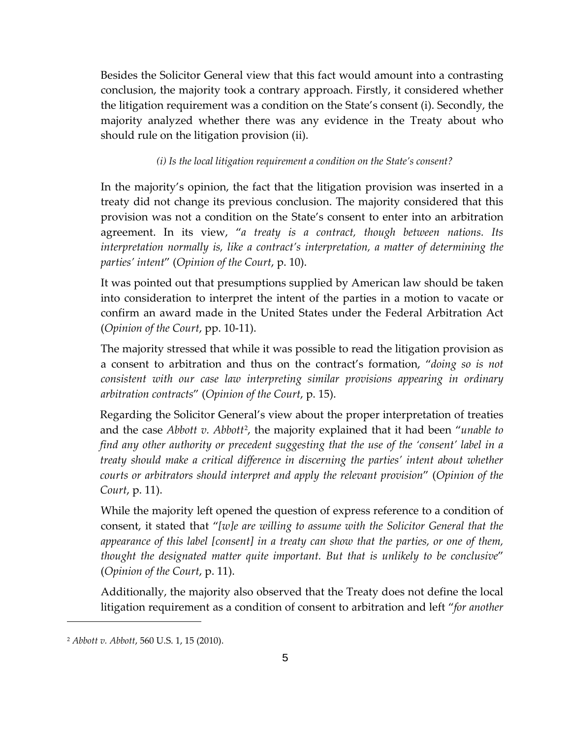Besides the Solicitor General view that this fact would amount into a contrasting conclusion, the majority took a contrary approach. Firstly, it considered whether the litigation requirement was a condition on the State's consent (i). Secondly, the majority analyzed whether there was any evidence in the Treaty about who should rule on the litigation provision (ii).

#### *(i) Is the local litigation requirement a condition on the State's consent?*

In the majority's opinion, the fact that the litigation provision was inserted in a treaty did not change its previous conclusion. The majority considered that this provision was not a condition on the State's consent to enter into an arbitration agreement. In its view, "*a treaty is a contract, though between nations. Its interpretation normally is, like a contract's interpretation, a matter of determining the parties' intent*" (*Opinion of the Court*, p. 10).

It was pointed out that presumptions supplied by American law should be taken into consideration to interpret the intent of the parties in a motion to vacate or confirm an award made in the United States under the Federal Arbitration Act (*Opinion of the Court*, pp. 10-11).

The majority stressed that while it was possible to read the litigation provision as a consent to arbitration and thus on the contract's formation, "*doing so is not consistent with our case law interpreting similar provisions appearing in ordinary arbitration contracts*" (*Opinion of the Court*, p. 15).

Regarding the Solicitor General's view about the proper interpretation of treaties and the case *Abbott v. Abbott*[2](#page-5-0) , the majority explained that it had been "*unable to find any other authority or precedent suggesting that the use of the 'consent' label in a treaty should make a critical difference in discerning the parties' intent about whether courts or arbitrators should interpret and apply the relevant provision*" (*Opinion of the Court*, p. 11).

While the majority left opened the question of express reference to a condition of consent, it stated that "*[w]e are willing to assume with the Solicitor General that the appearance of this label [consent] in a treaty can show that the parties, or one of them, thought the designated matter quite important. But that is unlikely to be conclusive*" (*Opinion of the Court*, p. 11).

Additionally, the majority also observed that the Treaty does not define the local litigation requirement as a condition of consent to arbitration and left "*for another* 

Ĩ.

<span id="page-5-0"></span><sup>2</sup> *Abbott v. Abbott*, 560 U.S. 1, 15 (2010).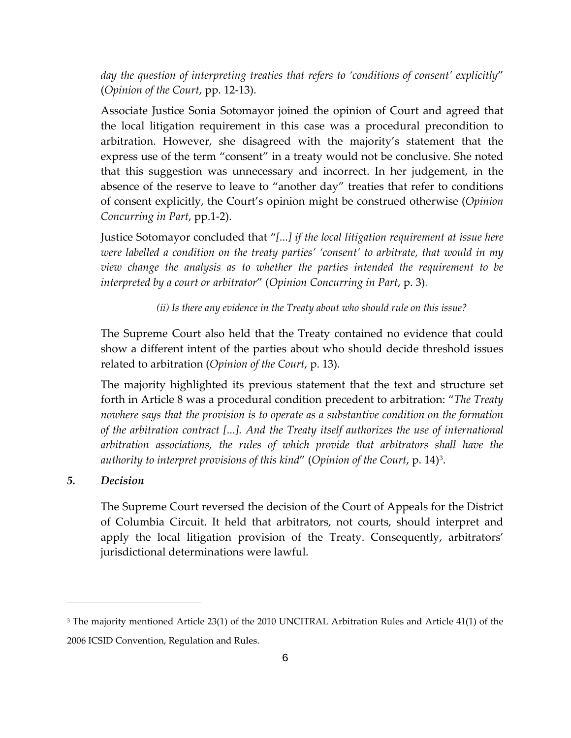*day the question of interpreting treaties that refers to 'conditions of consent' explicitly*" (*Opinion of the Court*, pp. 12-13).

Associate Justice Sonia Sotomayor joined the opinion of Court and agreed that the local litigation requirement in this case was a procedural precondition to arbitration. However, she disagreed with the majority's statement that the express use of the term "consent" in a treaty would not be conclusive. She noted that this suggestion was unnecessary and incorrect. In her judgement, in the absence of the reserve to leave to "another day" treaties that refer to conditions of consent explicitly, the Court's opinion might be construed otherwise (*Opinion Concurring in Part*, pp.1-2).

Justice Sotomayor concluded that "*[...] if the local litigation requirement at issue here were labelled a condition on the treaty parties' 'consent' to arbitrate, that would in my view change the analysis as to whether the parties intended the requirement to be interpreted by a court or arbitrator*" (*Opinion Concurring in Part*, p. 3).

#### *(ii) Is there any evidence in the Treaty about who should rule on this issue?*

The Supreme Court also held that the Treaty contained no evidence that could show a different intent of the parties about who should decide threshold issues related to arbitration (*Opinion of the Court*, p. 13).

The majority highlighted its previous statement that the text and structure set forth in Article 8 was a procedural condition precedent to arbitration: "*The Treaty nowhere says that the provision is to operate as a substantive condition on the formation of the arbitration contract [...]. And the Treaty itself authorizes the use of international arbitration associations, the rules of which provide that arbitrators shall have the authority to interpret provisions of this kind*" (*Opinion of the Court*, p. 14)[3](#page-6-1).

#### <span id="page-6-0"></span>*5. Decision*

Ĩ.

The Supreme Court reversed the decision of the Court of Appeals for the District of Columbia Circuit. It held that arbitrators, not courts, should interpret and apply the local litigation provision of the Treaty. Consequently, arbitrators' jurisdictional determinations were lawful.

<span id="page-6-1"></span><sup>3</sup> The majority mentioned Article 23(1) of the 2010 UNCITRAL Arbitration Rules and Article 41(1) of the 2006 ICSID Convention, Regulation and Rules.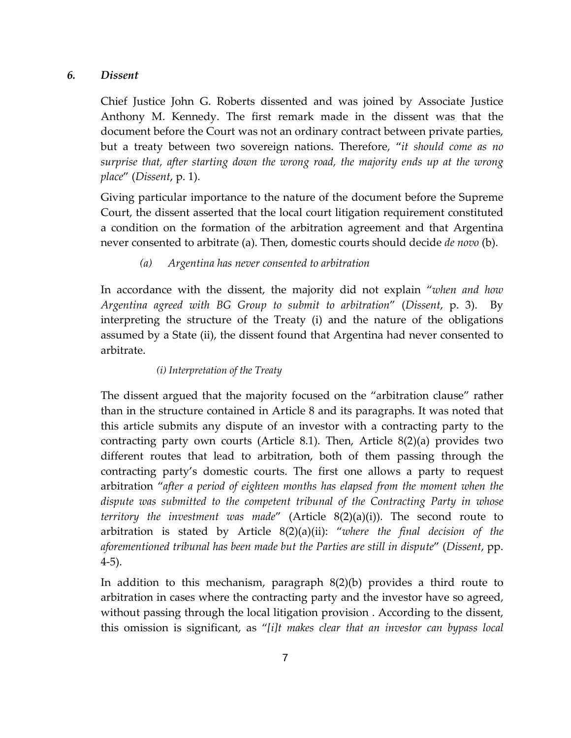#### <span id="page-7-0"></span>*6. Dissent*

Chief Justice John G. Roberts dissented and was joined by Associate Justice Anthony M. Kennedy. The first remark made in the dissent was that the document before the Court was not an ordinary contract between private parties, but a treaty between two sovereign nations. Therefore, "*it should come as no surprise that, after starting down the wrong road, the majority ends up at the wrong place*" (*Dissent*, p. 1).

Giving particular importance to the nature of the document before the Supreme Court, the dissent asserted that the local court litigation requirement constituted a condition on the formation of the arbitration agreement and that Argentina never consented to arbitrate (a). Then, domestic courts should decide *de novo* (b).

#### *(a) Argentina has never consented to arbitration*

<span id="page-7-1"></span>In accordance with the dissent, the majority did not explain "*when and how Argentina agreed with BG Group to submit to arbitration*" (*Dissent*, p. 3). By interpreting the structure of the Treaty (i) and the nature of the obligations assumed by a State (ii), the dissent found that Argentina had never consented to arbitrate.

#### *(i) Interpretation of the Treaty*

The dissent argued that the majority focused on the "arbitration clause" rather than in the structure contained in Article 8 and its paragraphs. It was noted that this article submits any dispute of an investor with a contracting party to the contracting party own courts (Article 8.1). Then, Article  $8(2)(a)$  provides two different routes that lead to arbitration, both of them passing through the contracting party's domestic courts. The first one allows a party to request arbitration "*after a period of eighteen months has elapsed from the moment when the dispute was submitted to the competent tribunal of the Contracting Party in whose territory the investment was made*" (Article 8(2)(a)(i)). The second route to arbitration is stated by Article 8(2)(a)(ii): "*where the final decision of the aforementioned tribunal has been made but the Parties are still in dispute*" (*Dissent*, pp. 4-5).

In addition to this mechanism, paragraph 8(2)(b) provides a third route to arbitration in cases where the contracting party and the investor have so agreed, without passing through the local litigation provision . According to the dissent, this omission is significant, as "*[i]t makes clear that an investor can bypass local*